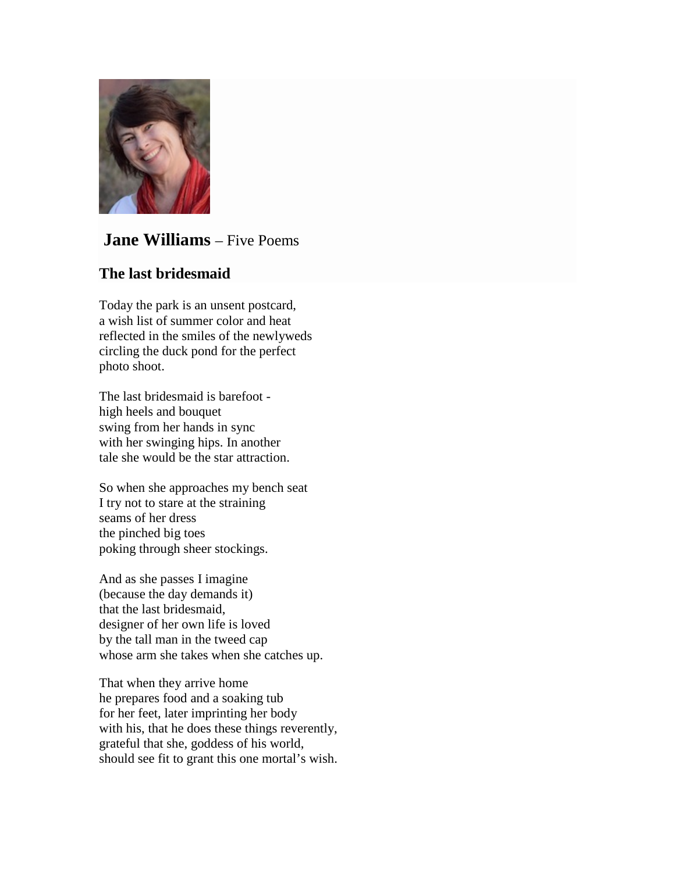

# **Jane Williams** – Five Poems

## **The last bridesmaid**

Today the park is an unsent postcard, a wish list of summer color and heat reflected in the smiles of the newlyweds circling the duck pond for the perfect photo shoot.

The last bridesmaid is barefoot high heels and bouquet swing from her hands in sync with her swinging hips. In another tale she would be the star attraction.

So when she approaches my bench seat I try not to stare at the straining seams of her dress the pinched big toes poking through sheer stockings.

And as she passes I imagine (because the day demands it) that the last bridesmaid, designer of her own life is loved by the tall man in the tweed cap whose arm she takes when she catches up.

That when they arrive home he prepares food and a soaking tub for her feet, later imprinting her body with his, that he does these things reverently, grateful that she, goddess of his world, should see fit to grant this one mortal's wish.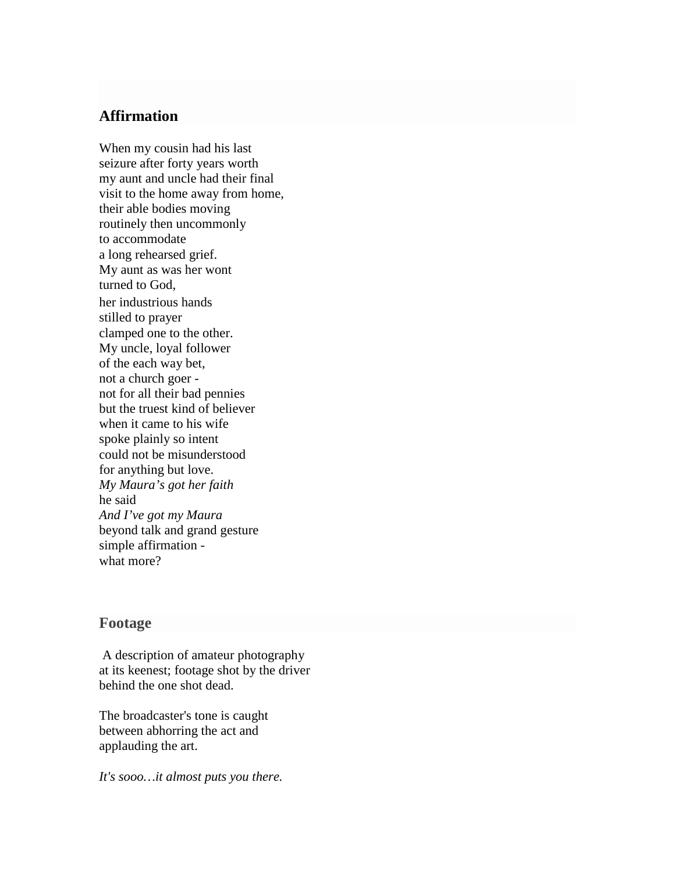### **Affirmation**

When my cousin had his last seizure after forty years worth my aunt and uncle had their final visit to the home away from home, their able bodies moving routinely then uncommonly to accommodate a long rehearsed grief. My aunt as was her wont turned to God, her industrious hands stilled to prayer clamped one to the other. My uncle, loyal follower of the each way bet, not a church goer not for all their bad pennies but the truest kind of believer when it came to his wife spoke plainly so intent could not be misunderstood for anything but love. *My Maura's got her faith* he said *And I've got my Maura* beyond talk and grand gesture simple affirmation what more?

#### **Footage**

A description of amateur photography at its keenest; footage shot by the driver behind the one shot dead.

The broadcaster's tone is caught between abhorring the act and applauding the art.

*It's sooo…it almost puts you there.*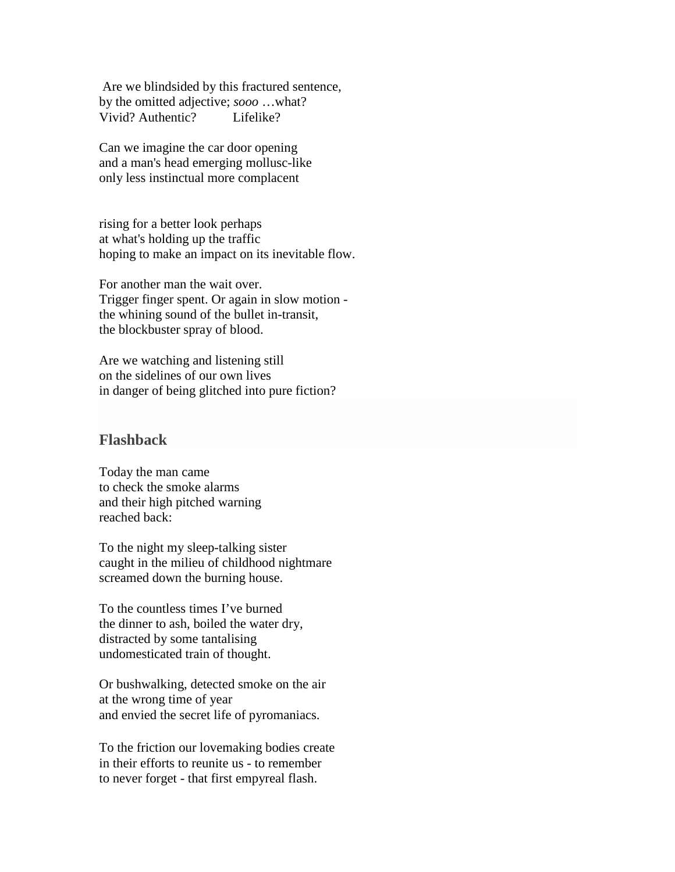Are we blindsided by this fractured sentence, by the omitted adjective; *sooo* …what? Vivid? Authentic? Lifelike?

Can we imagine the car door opening and a man's head emerging mollusc-like only less instinctual more complacent

rising for a better look perhaps at what's holding up the traffic hoping to make an impact on its inevitable flow.

For another man the wait over. Trigger finger spent. Or again in slow motion the whining sound of the bullet in-transit, the blockbuster spray of blood.

Are we watching and listening still on the sidelines of our own lives in danger of being glitched into pure fiction?

#### **Flashback**

Today the man came to check the smoke alarms and their high pitched warning reached back:

To the night my sleep-talking sister caught in the milieu of childhood nightmare screamed down the burning house.

To the countless times I've burned the dinner to ash, boiled the water dry, distracted by some tantalising undomesticated train of thought.

Or bushwalking, detected smoke on the air at the wrong time of year and envied the secret life of pyromaniacs.

To the friction our lovemaking bodies create in their efforts to reunite us - to remember to never forget - that first empyreal flash.